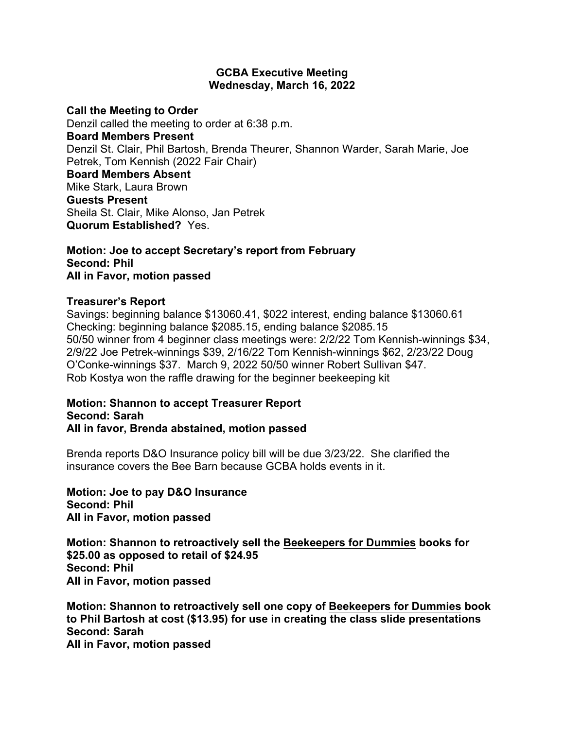## **GCBA Executive Meeting Wednesday, March 16, 2022**

#### **Call the Meeting to Order**

Denzil called the meeting to order at 6:38 p.m. **Board Members Present** Denzil St. Clair, Phil Bartosh, Brenda Theurer, Shannon Warder, Sarah Marie, Joe Petrek, Tom Kennish (2022 Fair Chair) **Board Members Absent** Mike Stark, Laura Brown **Guests Present** Sheila St. Clair, Mike Alonso, Jan Petrek **Quorum Established?** Yes.

#### **Motion: Joe to accept Secretary's report from February Second: Phil All in Favor, motion passed**

### **Treasurer's Report**

Savings: beginning balance \$13060.41, \$022 interest, ending balance \$13060.61 Checking: beginning balance \$2085.15, ending balance \$2085.15 50/50 winner from 4 beginner class meetings were: 2/2/22 Tom Kennish-winnings \$34, 2/9/22 Joe Petrek-winnings \$39, 2/16/22 Tom Kennish-winnings \$62, 2/23/22 Doug O'Conke-winnings \$37. March 9, 2022 50/50 winner Robert Sullivan \$47. Rob Kostya won the raffle drawing for the beginner beekeeping kit

#### **Motion: Shannon to accept Treasurer Report Second: Sarah All in favor, Brenda abstained, motion passed**

Brenda reports D&O Insurance policy bill will be due 3/23/22. She clarified the insurance covers the Bee Barn because GCBA holds events in it.

**Motion: Joe to pay D&O Insurance Second: Phil All in Favor, motion passed**

**Motion: Shannon to retroactively sell the Beekeepers for Dummies books for \$25.00 as opposed to retail of \$24.95 Second: Phil All in Favor, motion passed**

**Motion: Shannon to retroactively sell one copy of Beekeepers for Dummies book to Phil Bartosh at cost (\$13.95) for use in creating the class slide presentations Second: Sarah All in Favor, motion passed**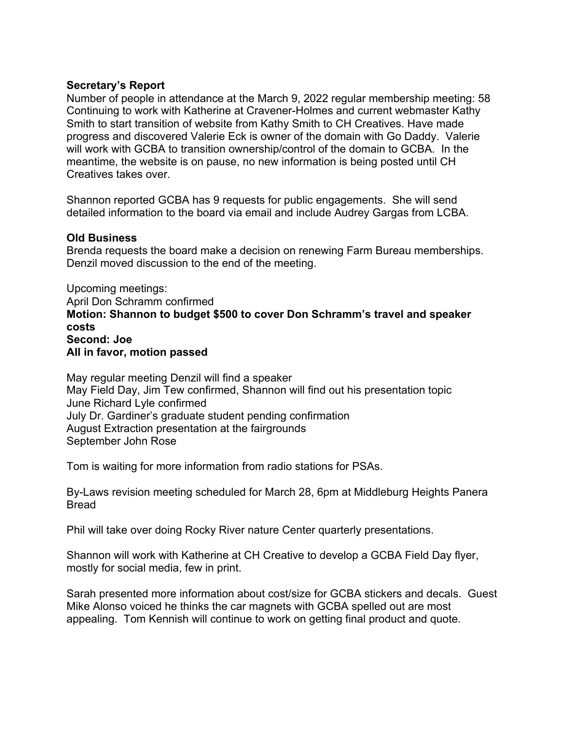# **Secretary's Report**

Number of people in attendance at the March 9, 2022 regular membership meeting: 58 Continuing to work with Katherine at Cravener-Holmes and current webmaster Kathy Smith to start transition of website from Kathy Smith to CH Creatives. Have made progress and discovered Valerie Eck is owner of the domain with Go Daddy. Valerie will work with GCBA to transition ownership/control of the domain to GCBA. In the meantime, the website is on pause, no new information is being posted until CH Creatives takes over.

Shannon reported GCBA has 9 requests for public engagements. She will send detailed information to the board via email and include Audrey Gargas from LCBA.

## **Old Business**

Brenda requests the board make a decision on renewing Farm Bureau memberships. Denzil moved discussion to the end of the meeting.

Upcoming meetings: April Don Schramm confirmed **Motion: Shannon to budget \$500 to cover Don Schramm's travel and speaker costs Second: Joe All in favor, motion passed**

May regular meeting Denzil will find a speaker May Field Day, Jim Tew confirmed, Shannon will find out his presentation topic June Richard Lyle confirmed July Dr. Gardiner's graduate student pending confirmation August Extraction presentation at the fairgrounds September John Rose

Tom is waiting for more information from radio stations for PSAs.

By-Laws revision meeting scheduled for March 28, 6pm at Middleburg Heights Panera Bread

Phil will take over doing Rocky River nature Center quarterly presentations.

Shannon will work with Katherine at CH Creative to develop a GCBA Field Day flyer, mostly for social media, few in print.

Sarah presented more information about cost/size for GCBA stickers and decals. Guest Mike Alonso voiced he thinks the car magnets with GCBA spelled out are most appealing. Tom Kennish will continue to work on getting final product and quote.